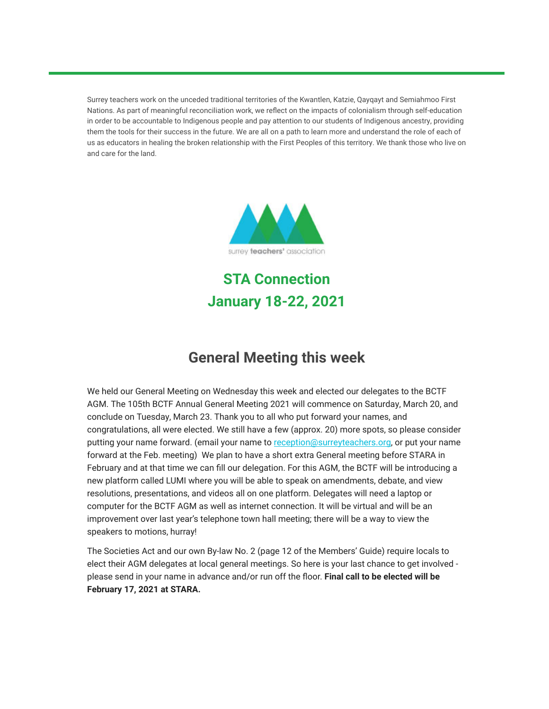Surrey teachers work on the unceded traditional territories of the Kwantlen, Katzie, Qayqayt and Semiahmoo First Nations. As part of meaningful reconciliation work, we reflect on the impacts of colonialism through self-education in order to be accountable to Indigenous people and pay attention to our students of Indigenous ancestry, providing them the tools for their success in the future. We are all on a path to learn more and understand the role of each of us as educators in healing the broken relationship with the First Peoples of this territory. We thank those who live on and care for the land.



**STA Connection January 18-22, 2021**

## **General Meeting this week**

We held our General Meeting on Wednesday this week and elected our delegates to the BCTF AGM. The 105th BCTF Annual General Meeting 2021 will commence on Saturday, March 20, and conclude on Tuesday, March 23. Thank you to all who put forward your names, and congratulations, all were elected. We still have a few (approx. 20) more spots, so please consider putting your name forward. (email your name to [reception@surreyteachers.org](mailto:reception@surreyteachers.org), or put your name forward at the Feb. meeting) We plan to have a short extra General meeting before STARA in February and at that time we can fill our delegation. For this AGM, the BCTF will be introducing a new platform called LUMI where you will be able to speak on amendments, debate, and view resolutions, presentations, and videos all on one platform. Delegates will need a laptop or computer for the BCTF AGM as well as internet connection. It will be virtual and will be an improvement over last year's telephone town hall meeting; there will be a way to view the speakers to motions, hurray!

The Societies Act and our own By-law No. 2 (page 12 of the Members' Guide) require locals to elect their AGM delegates at local general meetings. So here is your last chance to get involved please send in your name in advance and/or run off the floor. **Final call to be elected will be February 17, 2021 at STARA.**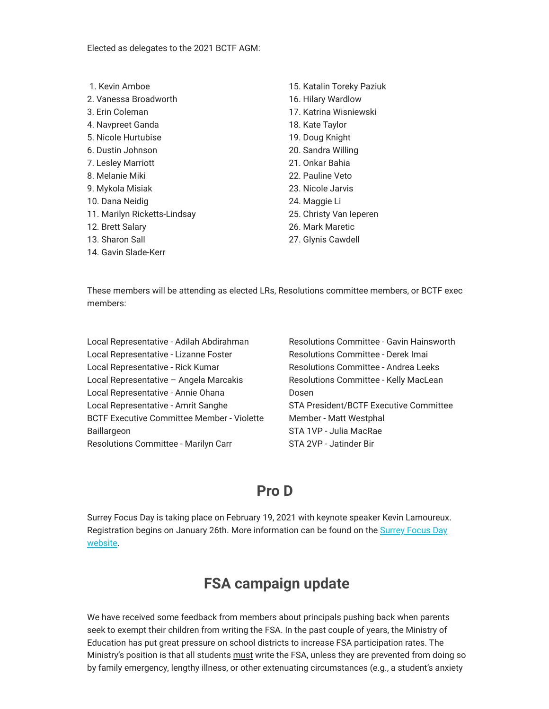Elected as delegates to the 2021 BCTF AGM:

- 1. Kevin Amboe
- 2. Vanessa Broadworth
- 3. Erin Coleman
- 4. Navpreet Ganda
- 5. Nicole Hurtubise
- 6. Dustin Johnson
- 7. Lesley Marriott
- 8. Melanie Miki
- 9. Mykola Misiak
- 10. Dana Neidig
- 11. Marilyn Ricketts-Lindsay
- 12. Brett Salary
- 13. Sharon Sall
- 14. Gavin Slade-Kerr
- 15. Katalin Toreky Paziuk
- 16. Hilary Wardlow
- 17. Katrina Wisniewski
- 18. Kate Taylor
- 19. Doug Knight
- 20. Sandra Willing
- 21. Onkar Bahia
- 22. Pauline Veto
- 23. Nicole Jarvis
- 24. Maggie Li
- 25. Christy Van Ieperen
- 26. Mark Maretic
- 27. Glynis Cawdell

These members will be attending as elected LRs, Resolutions committee members, or BCTF exec members:

Local Representative - Adilah Abdirahman Local Representative - Lizanne Foster Local Representative - Rick Kumar Local Representative – Angela Marcakis Local Representative - Annie Ohana Local Representative - Amrit Sanghe BCTF Executive Committee Member - Violette Baillargeon Resolutions Committee - Marilyn Carr

Resolutions Committee - Gavin Hainsworth Resolutions Committee - Derek Imai Resolutions Committee - Andrea Leeks Resolutions Committee - Kelly MacLean Dosen STA President/BCTF Executive Committee Member - Matt Westphal STA 1VP - Julia MacRae STA 2VP - Jatinder Bir

## **Pro D**

Surrey Focus Day is taking place on February 19, 2021 with keynote speaker Kevin Lamoureux. [Registration begins on January 26th. More information can be found on the Surrey Focus Day](https://surreyteachers.us20.list-manage.com/track/click?u=37ec644ae87e34b54b3912660&id=dec9d6ba79&e=7261da6bdb) website.

### **FSA campaign update**

We have received some feedback from members about principals pushing back when parents seek to exempt their children from writing the FSA. In the past couple of years, the Ministry of Education has put great pressure on school districts to increase FSA participation rates. The Ministry's position is that all students must write the FSA, unless they are prevented from doing so by family emergency, lengthy illness, or other extenuating circumstances (e.g., a student's anxiety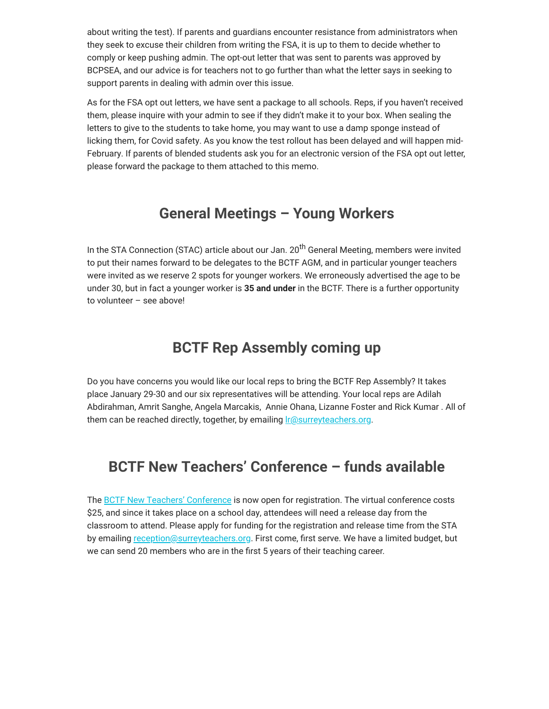about writing the test). If parents and guardians encounter resistance from administrators when they seek to excuse their children from writing the FSA, it is up to them to decide whether to comply or keep pushing admin. The opt-out letter that was sent to parents was approved by BCPSEA, and our advice is for teachers not to go further than what the letter says in seeking to support parents in dealing with admin over this issue.

As for the FSA opt out letters, we have sent a package to all schools. Reps, if you haven't received them, please inquire with your admin to see if they didn't make it to your box. When sealing the letters to give to the students to take home, you may want to use a damp sponge instead of licking them, for Covid safety. As you know the test rollout has been delayed and will happen mid-February. If parents of blended students ask you for an electronic version of the FSA opt out letter, please forward the package to them attached to this memo.

## **General Meetings – Young Workers**

In the STA Connection (STAC) article about our Jan. 20<sup>th</sup> General Meeting, members were invited to put their names forward to be delegates to the BCTF AGM, and in particular younger teachers were invited as we reserve 2 spots for younger workers. We erroneously advertised the age to be under 30, but in fact a younger worker is **35 and under** in the BCTF. There is a further opportunity to volunteer – see above!

### **BCTF Rep Assembly coming up**

Do you have concerns you would like our local reps to bring the BCTF Rep Assembly? It takes place January 29-30 and our six representatives will be attending. Your local reps are Adilah Abdirahman, Amrit Sanghe, Angela Marcakis, Annie Ohana, Lizanne Foster and Rick Kumar . All of them can be reached directly, together, by emailing *reasurreyteachers.org.* 

## **BCTF New Teachers' Conference – funds available**

The [BCTF New Teachers' Conference](https://surreyteachers.us20.list-manage.com/track/click?u=37ec644ae87e34b54b3912660&id=2f07f8b22a&e=7261da6bdb) is now open for registration. The virtual conference costs \$25, and since it takes place on a school day, attendees will need a release day from the classroom to attend. Please apply for funding for the registration and release time from the STA by emailing [reception@surreyteachers.org.](mailto:reception@surreyteachers.org) First come, first serve. We have a limited budget, but we can send 20 members who are in the first 5 years of their teaching career.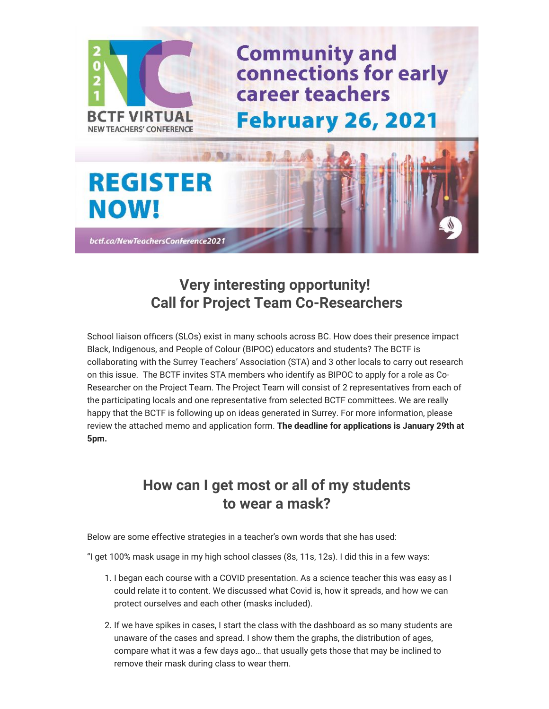

# **Very interesting opportunity! Call for Project Team Co-Researchers**

School liaison officers (SLOs) exist in many schools across BC. How does their presence impact Black, Indigenous, and People of Colour (BIPOC) educators and students? The BCTF is collaborating with the Surrey Teachers' Association (STA) and 3 other locals to carry out research on this issue. The BCTF invites STA members who identify as BIPOC to apply for a role as Co-Researcher on the Project Team. The Project Team will consist of 2 representatives from each of the participating locals and one representative from selected BCTF committees. We are really happy that the BCTF is following up on ideas generated in Surrey. For more information, please review the attached memo and application form. **The deadline for applications is January 29th at 5pm.** 

## **How can I get most or all of my students to wear a mask?**

Below are some effective strategies in a teacher's own words that she has used:

"I get 100% mask usage in my high school classes (8s, 11s, 12s). I did this in a few ways:

- 1. I began each course with a COVID presentation. As a science teacher this was easy as I could relate it to content. We discussed what Covid is, how it spreads, and how we can protect ourselves and each other (masks included).
- 2. If we have spikes in cases, I start the class with the dashboard as so many students are unaware of the cases and spread. I show them the graphs, the distribution of ages, compare what it was a few days ago… that usually gets those that may be inclined to remove their mask during class to wear them.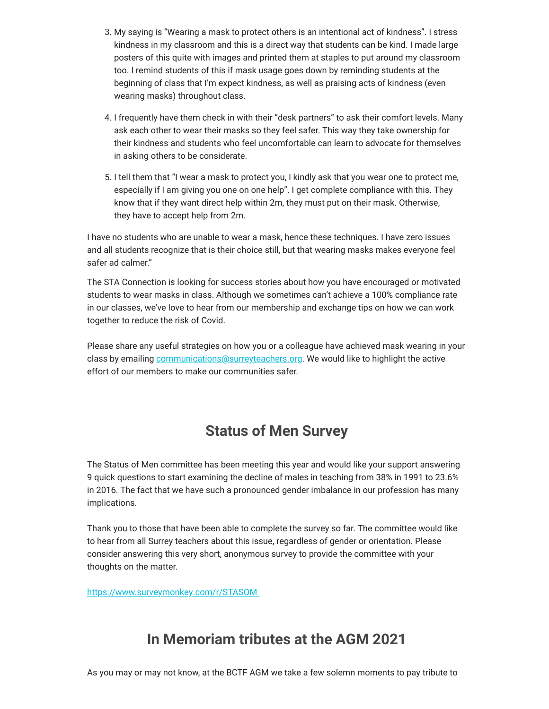- 3. My saying is "Wearing a mask to protect others is an intentional act of kindness". I stress kindness in my classroom and this is a direct way that students can be kind. I made large posters of this quite with images and printed them at staples to put around my classroom too. I remind students of this if mask usage goes down by reminding students at the beginning of class that I'm expect kindness, as well as praising acts of kindness (even wearing masks) throughout class.
- 4. I frequently have them check in with their "desk partners" to ask their comfort levels. Many ask each other to wear their masks so they feel safer. This way they take ownership for their kindness and students who feel uncomfortable can learn to advocate for themselves in asking others to be considerate.
- 5. I tell them that "I wear a mask to protect you, I kindly ask that you wear one to protect me, especially if I am giving you one on one help". I get complete compliance with this. They know that if they want direct help within 2m, they must put on their mask. Otherwise, they have to accept help from 2m.

I have no students who are unable to wear a mask, hence these techniques. I have zero issues and all students recognize that is their choice still, but that wearing masks makes everyone feel safer ad calmer."

The STA Connection is looking for success stories about how you have encouraged or motivated students to wear masks in class. Although we sometimes can't achieve a 100% compliance rate in our classes, we've love to hear from our membership and exchange tips on how we can work together to reduce the risk of Covid.

Please share any useful strategies on how you or a colleague have achieved mask wearing in your class by emailing [communications@surreyteachers.org](mailto:communications@surreyteachers.org). We would like to highlight the active effort of our members to make our communities safer.

# **Status of Men Survey**

The Status of Men committee has been meeting this year and would like your support answering 9 quick questions to start examining the decline of males in teaching from 38% in 1991 to 23.6% in 2016. The fact that we have such a pronounced gender imbalance in our profession has many implications.

Thank you to those that have been able to complete the survey so far. The committee would like to hear from all Surrey teachers about this issue, regardless of gender or orientation. Please consider answering this very short, anonymous survey to provide the committee with your thoughts on the matter.

[https://www.surveymonkey.com/r/STASOM](https://surreyteachers.us20.list-manage.com/track/click?u=37ec644ae87e34b54b3912660&id=08e9f5f6d9&e=7261da6bdb) 

## **In Memoriam tributes at the AGM 2021**

As you may or may not know, at the BCTF AGM we take a few solemn moments to pay tribute to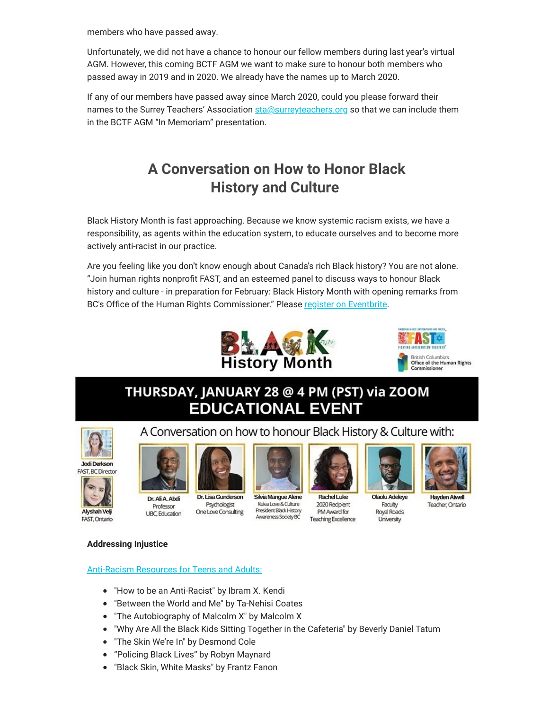members who have passed away.

Unfortunately, we did not have a chance to honour our fellow members during last year's virtual AGM. However, this coming BCTF AGM we want to make sure to honour both members who passed away in 2019 and in 2020. We already have the names up to March 2020.

If any of our members have passed away since March 2020, could you please forward their names to the Surrey Teachers' Association [sta@surreyteachers.org](mailto:sta@surreyteachers.org) so that we can include them in the BCTF AGM "In Memoriam" presentation.

# **A Conversation on How to Honor Black History and Culture**

Black History Month is fast approaching. Because we know systemic racism exists, we have a responsibility, as agents within the education system, to educate ourselves and to become more actively anti-racist in our practice.

Are you feeling like you don't know enough about Canada's rich Black history? You are not alone. "Join human rights nonprofit FAST, and an esteemed panel to discuss ways to honour Black history and culture - in preparation for February: Black History Month with opening remarks from BC's Office of the Human Rights Commissioner." Please [register on Eventbrite.](https://surreyteachers.us20.list-manage.com/track/click?u=37ec644ae87e34b54b3912660&id=6fc84ecf82&e=7261da6bdb)





Commissione

## THURSDAY, JANUARY 28 @ 4 PM (PST) via ZOOM **EDUCATIONAL EVENT**





Alyshah Veli

FAST, Ontario



Dr. Ali A. Abdi Professor **UBC**, Education



Dr. Lisa Gunderson Psychologist One Love Consulting



A Conversation on how to honour Black History & Culture with:

Silvia Mangue Alene Kulea Love & Culture President Black History Awareness Society BC



Rachel Luke 2020 Recipient PM Award for Teaching Excellence



**Olaolu Adeleye** Faculty Royal Roads University



**Havden Atwell** Teacher, Ontario

**Addressing Injustice**

#### [Anti-Racism Resources for Teens and Adults:](https://surreyteachers.us20.list-manage.com/track/click?u=37ec644ae87e34b54b3912660&id=57f01f86cf&e=7261da6bdb)

- "How to be an Anti-Racist" by Ibram X. Kendi
- "Between the World and Me" by Ta-Nehisi Coates
- "The Autobiography of Malcolm X" by Malcolm X
- "Why Are All the Black Kids Sitting Together in the Cafeteria" by Beverly Daniel Tatum
- "The Skin We're In" by Desmond Cole
- "Policing Black Lives" by Robyn Maynard
- "Black Skin, White Masks" by Frantz Fanon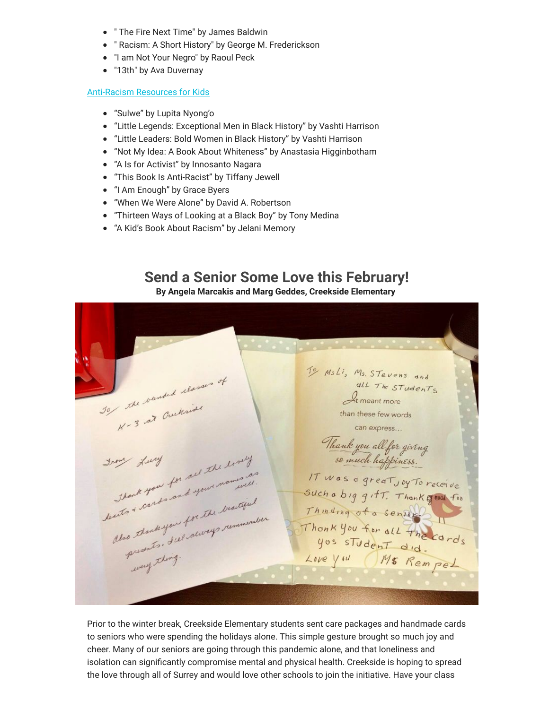- " The Fire Next Time" by James Baldwin
- " Racism: A Short History" by George M. Frederickson
- "I am Not Your Negro" by Raoul Peck
- "13th" by Ava Duvernay

#### [Anti-Racism Resources for Kids](https://surreyteachers.us20.list-manage.com/track/click?u=37ec644ae87e34b54b3912660&id=0f5a2fbe05&e=7261da6bdb)

- "Sulwe" by Lupita Nyong'o
- "Little Legends: Exceptional Men in Black History" by Vashti Harrison
- "Little Leaders: Bold Women in Black History" by Vashti Harrison
- "Not My Idea: A Book About Whiteness" by Anastasia Higginbotham
- "A Is for Activist" by Innosanto Nagara
- "This Book Is Anti-Racist" by Tiffany Jewell
- "I Am Enough" by Grace Byers
- "When We Were Alone" by David A. Robertson
- "Thirteen Ways of Looking at a Black Boy" by Tony Medina
- "A Kid's Book About Racism" by Jelani Memory

# **Send a Senior Some Love this February!**

**By Angela Marcakis and Marg Geddes, Creekside Elementary** 

10 MsLi, Ms. STevens and 30 the vanded classes of all The STUDENTS  $A$ <sub>t meant more</sub> the bandance Raid than these few words can express... Thank you all for giving start you for set the lovely From Lucy least of cards and your mom IT was a great joy To receive Such a big gift. Thank good for thank you , and your . waiting Thinding of a sense of Thonk you for all the cards yos student did.<br>Love you Ms Rempel presents . org .<br>every thing .

Prior to the winter break, Creekside Elementary students sent care packages and handmade cards to seniors who were spending the holidays alone. This simple gesture brought so much joy and cheer. Many of our seniors are going through this pandemic alone, and that loneliness and isolation can significantly compromise mental and physical health. Creekside is hoping to spread the love through all of Surrey and would love other schools to join the initiative. Have your class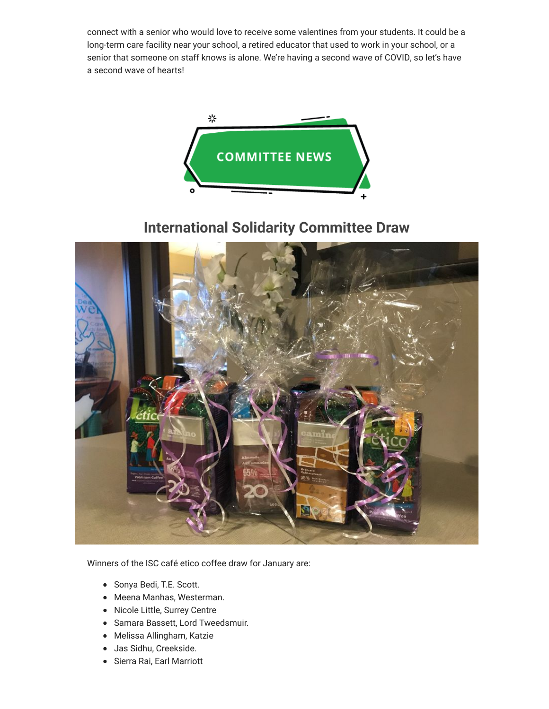connect with a senior who would love to receive some valentines from your students. It could be a long-term care facility near your school, a retired educator that used to work in your school, or a senior that someone on staff knows is alone. We're having a second wave of COVID, so let's have a second wave of hearts!



# **International Solidarity Committee Draw**



Winners of the ISC café etico coffee draw for January are:

- Sonya Bedi, T.E. Scott.
- Meena Manhas, Westerman.
- Nicole Little, Surrey Centre
- Samara Bassett, Lord Tweedsmuir.
- Melissa Allingham, Katzie
- Jas Sidhu, Creekside.
- Sierra Rai, Earl Marriott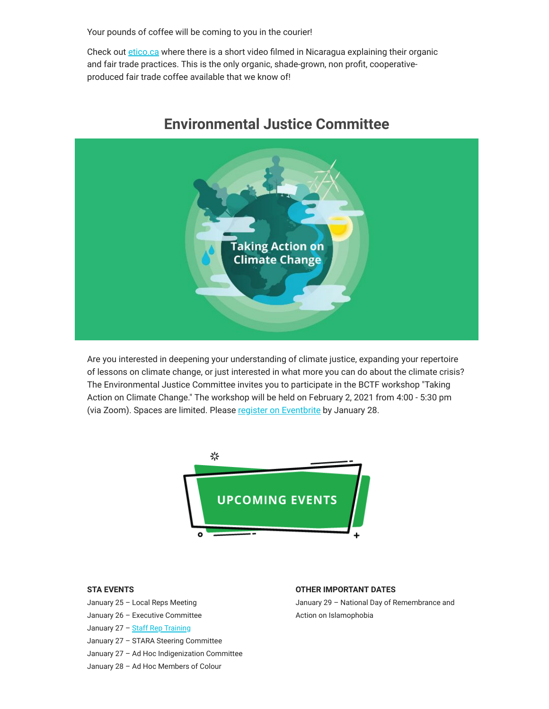Your pounds of coffee will be coming to you in the courier!

Check out [etico.ca](https://surreyteachers.us20.list-manage.com/track/click?u=37ec644ae87e34b54b3912660&id=21017947c2&e=7261da6bdb) where there is a short video filmed in Nicaragua explaining their organic and fair trade practices. This is the only organic, shade-grown, non profit, cooperativeproduced fair trade coffee available that we know of!



### **Environmental Justice Committee**

Are you interested in deepening your understanding of climate justice, expanding your repertoire of lessons on climate change, or just interested in what more you can do about the climate crisis? The Environmental Justice Committee invites you to participate in the BCTF workshop "Taking Action on Climate Change." The workshop will be held on February 2, 2021 from 4:00 - 5:30 pm (via Zoom). Spaces are limited. Please [register on Eventbrite](https://surreyteachers.us20.list-manage.com/track/click?u=37ec644ae87e34b54b3912660&id=1a78897d80&e=7261da6bdb) by January 28.



#### **STA EVENTS**

- January 25 Local Reps Meeting
- January 26 Executive Committee
- January 27 [Staff Rep Training](https://surreyteachers.us20.list-manage.com/track/click?u=37ec644ae87e34b54b3912660&id=87fa73db57&e=7261da6bdb)
- January 27 STARA Steering Committee
- January 27 Ad Hoc Indigenization Committee

#### January 28 – Ad Hoc Members of Colour

#### **OTHER IMPORTANT DATES**

January 29 – National Day of Remembrance and Action on Islamophobia